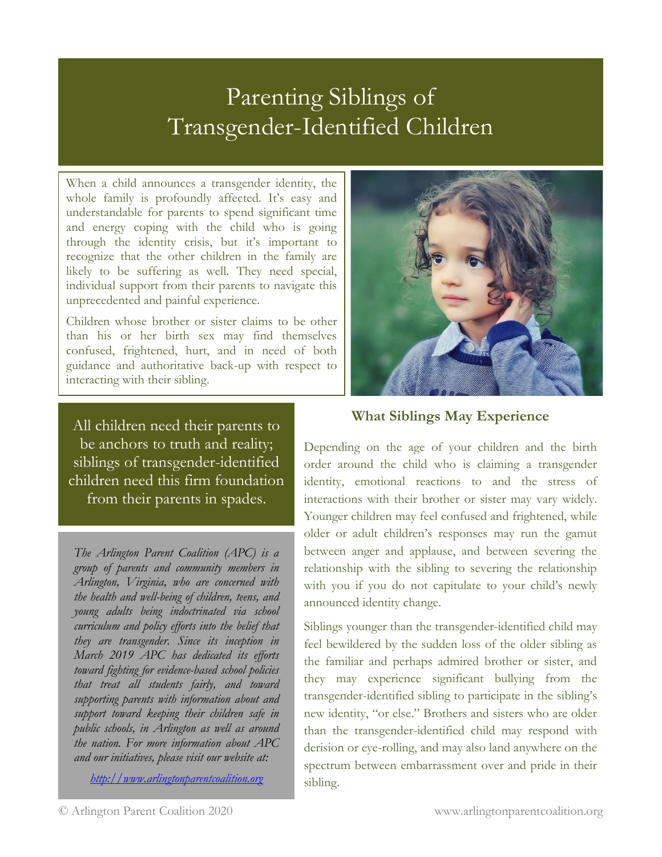# Parenting Siblings of Transgender-Identified Children

When a child announces a transgender identity, the whole family is profoundly affected. It's easy and understandable for parents to spend significant time and energy coping with the child who is going through the identity crisis, but it's important to recognize that the other children in the family are likely to be suffering as well. They need special, individual support from their parents to navigate this unprecedented and painful experience.

Children whose brother or sister claims to be other than his or her birth sex may find themselves confused, frightened, hurt, and in need of both guidance and authoritative back-up with respect to interacting with their sibling.

All children need their parents to be anchors to truth and reality; siblings of transgender-identified children need this firm foundation from their parents in spades.

*The Arlington Parent Coalition (APC) is a group of parents and community members in Arlington, Virginia, who are concerned with the health and well-being of children, teens, and young adults being indoctrinated via school curriculum and policy efforts into the belief that they are transgender. Since its inception in March 2019 APC has dedicated its efforts toward fighting for evidence-based school policies that treat all students fairly, and toward supporting parents with information about and support toward keeping their children safe in public schools, in Arlington as well as around the nation. For more information about APC and our initiatives, please visit our website at:*

*[http://www.arlingtonparentcoalition.org](http://www.arlingtonparentcoalition.org/)*



# **What Siblings May Experience**

Depending on the age of your children and the birth order around the child who is claiming a transgender identity, emotional reactions to and the stress of interactions with their brother or sister may vary widely. Younger children may feel confused and frightened, while older or adult children's responses may run the gamut between anger and applause, and between severing the relationship with the sibling to severing the relationship with you if you do not capitulate to your child's newly announced identity change.

Siblings younger than the transgender-identified child may feel bewildered by the sudden loss of the older sibling as the familiar and perhaps admired brother or sister, and they may experience significant bullying from the transgender-identified sibling to participate in the sibling's new identity, "or else." Brothers and sisters who are older than the transgender-identified child may respond with derision or eye-rolling, and may also land anywhere on the spectrum between embarrassment over and pride in their sibling.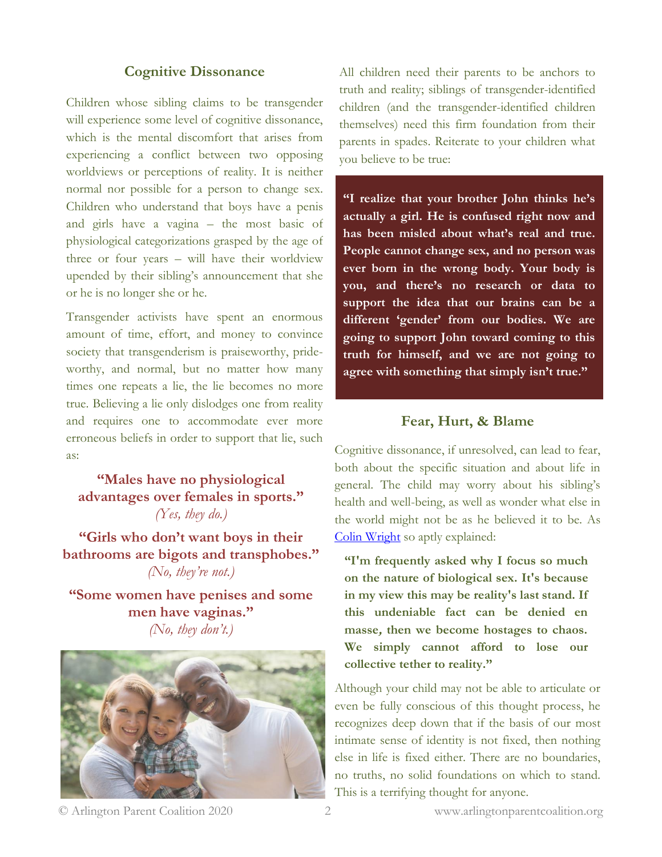#### **Cognitive Dissonance**

Children whose sibling claims to be transgender will experience some level of cognitive dissonance, which is the mental discomfort that arises from experiencing a conflict between two opposing worldviews or perceptions of reality. It is neither normal nor possible for a person to change sex. Children who understand that boys have a penis and girls have a vagina – the most basic of physiological categorizations grasped by the age of three or four years – will have their worldview upended by their sibling's announcement that she or he is no longer she or he.

Transgender activists have spent an enormous amount of time, effort, and money to convince society that transgenderism is praiseworthy, prideworthy, and normal, but no matter how many times one repeats a lie, the lie becomes no more true. Believing a lie only dislodges one from reality and requires one to accommodate ever more erroneous beliefs in order to support that lie, such as:

**"Males have no physiological advantages over females in sports."**  *(Yes, they do.)*

**"Girls who don't want boys in their bathrooms are bigots and transphobes."**  *(No, they're not.)*

**"Some women have penises and some men have vaginas."**  *(No, they don't.)*



All children need their parents to be anchors to truth and reality; siblings of transgender-identified children (and the transgender-identified children themselves) need this firm foundation from their parents in spades. Reiterate to your children what you believe to be true:

**"I realize that your brother John thinks he's actually a girl. He is confused right now and has been misled about what's real and true. People cannot change sex, and no person was ever born in the wrong body. Your body is you, and there's no research or data to support the idea that our brains can be a different 'gender' from our bodies. We are going to support John toward coming to this truth for himself, and we are not going to agree with something that simply isn't true."**

#### **Fear, Hurt, & Blame**

Cognitive dissonance, if unresolved, can lead to fear, both about the specific situation and about life in general. The child may worry about his sibling's health and well-being, as well as wonder what else in the world might not be as he believed it to be. As [Colin Wright](https://twitter.com/swipewright/status/1235302606819467265) so aptly explained:

**"I'm frequently asked why I focus so much on the nature of biological sex. It's because in my view this may be reality's last stand. If this undeniable fact can be denied en masse, then we become hostages to chaos. We simply cannot afford to lose our collective tether to reality."**

Although your child may not be able to articulate or even be fully conscious of this thought process, he recognizes deep down that if the basis of our most intimate sense of identity is not fixed, then nothing else in life is fixed either. There are no boundaries, no truths, no solid foundations on which to stand. This is a terrifying thought for anyone.

© Arlington Parent Coalition 2020 www.arlingtonparentcoalition.org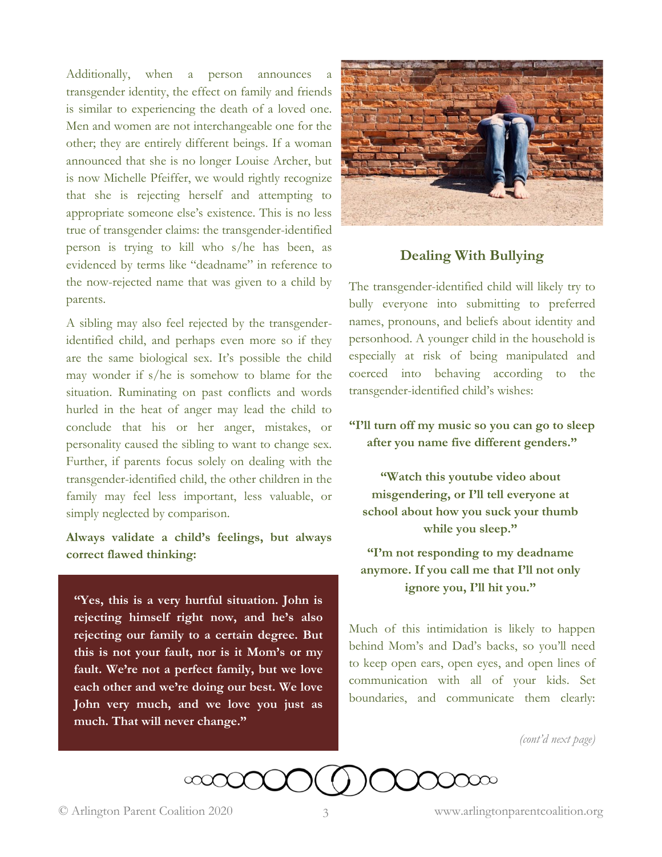Additionally, when a person announces transgender identity, the effect on family and friends is similar to experiencing the death of a loved one. Men and women are not interchangeable one for the other; they are entirely different beings. If a woman announced that she is no longer Louise Archer, but is now Michelle Pfeiffer, we would rightly recognize that she is rejecting herself and attempting to appropriate someone else's existence. This is no less true of transgender claims: the transgender-identified person is trying to kill who s/he has been, as evidenced by terms like "deadname" in reference to the now-rejected name that was given to a child by parents.

A sibling may also feel rejected by the transgenderidentified child, and perhaps even more so if they are the same biological sex. It's possible the child may wonder if s/he is somehow to blame for the situation. Ruminating on past conflicts and words hurled in the heat of anger may lead the child to conclude that his or her anger, mistakes, or personality caused the sibling to want to change sex. Further, if parents focus solely on dealing with the transgender-identified child, the other children in the family may feel less important, less valuable, or simply neglected by comparison.

**Always validate a child's feelings, but always correct flawed thinking:**

**"Yes, this is a very hurtful situation. John is rejecting himself right now, and he's also rejecting our family to a certain degree. But this is not your fault, nor is it Mom's or my fault. We're not a perfect family, but we love each other and we're doing our best. We love John very much, and we love you just as much. That will never change."**



## **Dealing With Bullying**

The transgender-identified child will likely try to bully everyone into submitting to preferred names, pronouns, and beliefs about identity and personhood. A younger child in the household is especially at risk of being manipulated and coerced into behaving according to the transgender-identified child's wishes:

**"I'll turn off my music so you can go to sleep after you name five different genders."**

**"Watch this youtube video about misgendering, or I'll tell everyone at school about how you suck your thumb while you sleep."**

**"I'm not responding to my deadname anymore. If you call me that I'll not only ignore you, I'll hit you."**

Much of this intimidation is likely to happen behind Mom's and Dad's backs, so you'll need to keep open ears, open eyes, and open lines of communication with all of your kids. Set boundaries, and communicate them clearly:

*(cont'd next page)*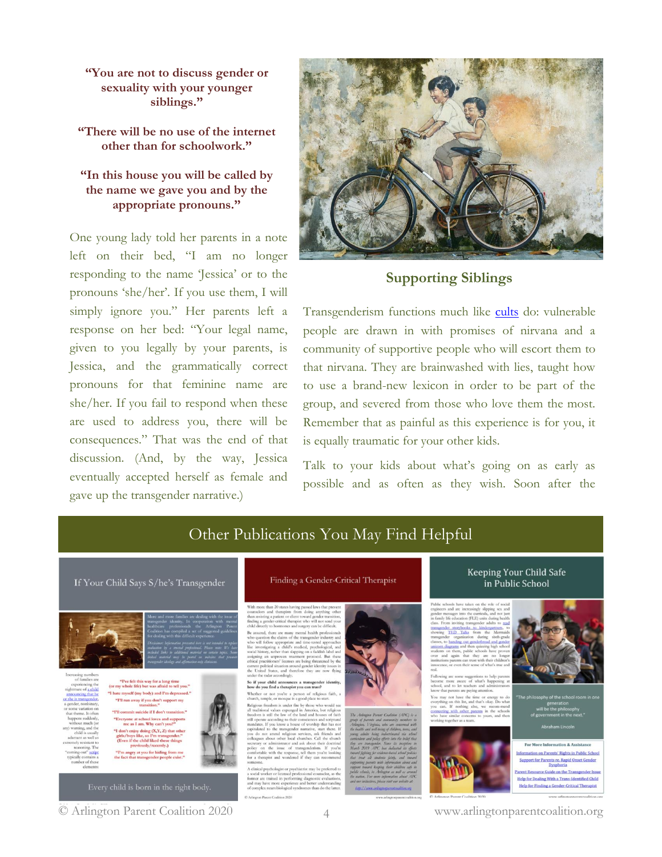**"You are not to discuss gender or sexuality with your younger siblings."**

**"There will be no use of the internet other than for schoolwork."**

### **"In this house you will be called by the name we gave you and by the appropriate pronouns."**

One young lady told her parents in a note left on their bed, "I am no longer responding to the name 'Jessica' or to the pronouns 'she/her'. If you use them, I will simply ignore you." Her parents left a response on her bed: "Your legal name, given to you legally by your parents, is Jessica, and the grammatically correct pronouns for that feminine name are she/her. If you fail to respond when these are used to address you, there will be consequences." That was the end of that discussion. (And, by the way, Jessica eventually accepted herself as female and gave up the transgender narrative.)



## **Supporting Siblings**

Transgenderism functions much like [cults](https://www.theguardian.com/commentisfree/belief/2009/may/27/cults-definition-religion) do: vulnerable people are drawn in with promises of nirvana and a community of supportive people who will escort them to that nirvana. They are brainwashed with lies, taught how to use a brand-new lexicon in order to be part of the group, and severed from those who love them the most. Remember that as painful as this experience is for you, it is equally traumatic for your other kids.

Talk to your kids about what's going on as early as possible and as often as they wish. Soon after the



Other Publications You May Find Helpful

4